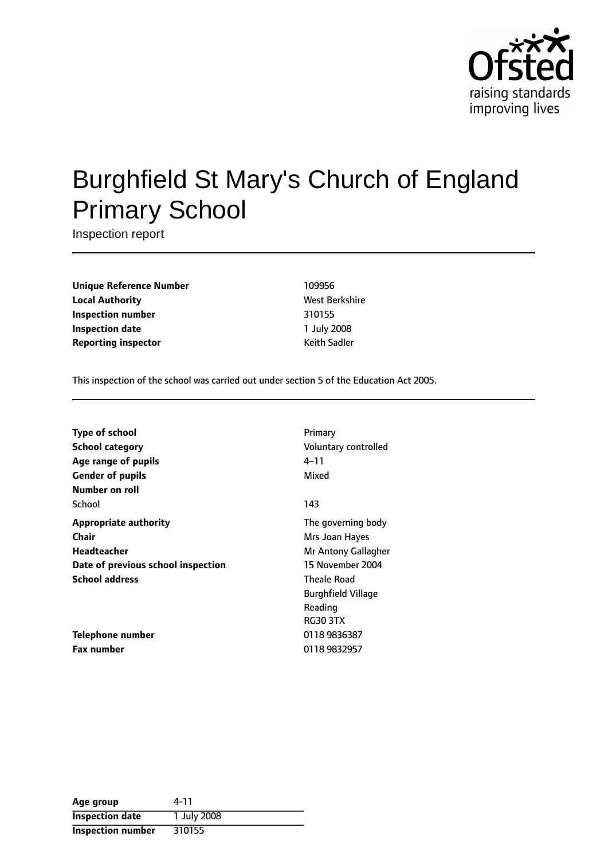

# Burghfield St Mary's Church of England Primary School

Inspection report

**Unique Reference Number** 109956 **Local Authority** Mest Berkshire **Inspection number** 310155 **Inspection date** 1 July 2008 **Reporting inspector CONFIDENTIAL REPORTING Keith Sadler** 

This inspection of the school was carried out under section 5 of the Education Act 2005.

| <b>Type of school</b><br><b>School category</b><br>Age range of pupils<br><b>Gender of pupils</b><br>Number on roll | Primary<br>Voluntary controlled<br>4–11<br>Mixed                                |
|---------------------------------------------------------------------------------------------------------------------|---------------------------------------------------------------------------------|
| School                                                                                                              | 143                                                                             |
| <b>Appropriate authority</b><br>Chair<br><b>Headteacher</b><br>Date of previous school inspection                   | The governing body<br>Mrs Joan Hayes<br>Mr Antony Gallagher<br>15 November 2004 |
| <b>School address</b>                                                                                               | <b>Theale Road</b><br><b>Burghfield Village</b><br>Reading<br><b>RG30 3TX</b>   |
| Telephone number<br><b>Fax number</b>                                                                               | 0118 9836387<br>0118 9832957                                                    |

| Age group              | 4-11        |
|------------------------|-------------|
| <b>Inspection date</b> | 1 July 2008 |
| Inspection number      | 310155      |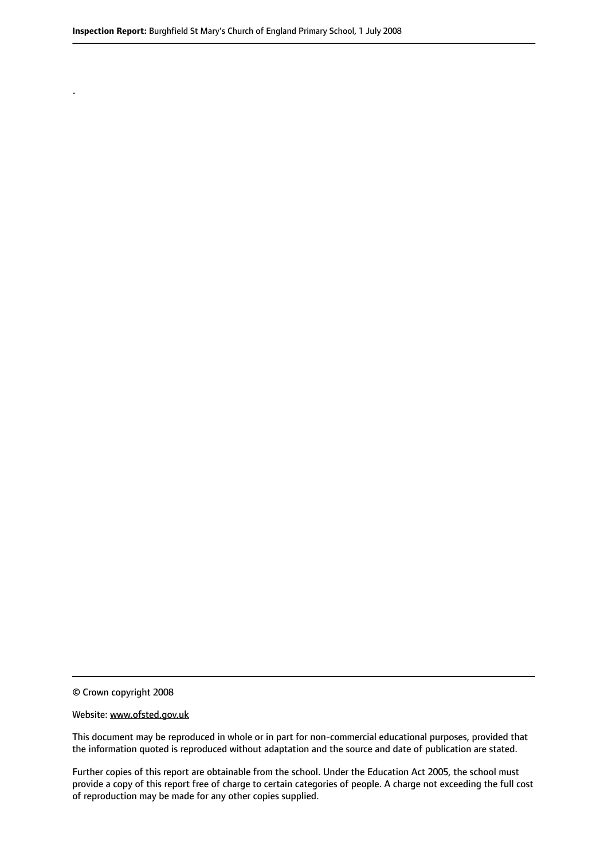© Crown copyright 2008

.

#### Website: www.ofsted.gov.uk

This document may be reproduced in whole or in part for non-commercial educational purposes, provided that the information quoted is reproduced without adaptation and the source and date of publication are stated.

Further copies of this report are obtainable from the school. Under the Education Act 2005, the school must provide a copy of this report free of charge to certain categories of people. A charge not exceeding the full cost of reproduction may be made for any other copies supplied.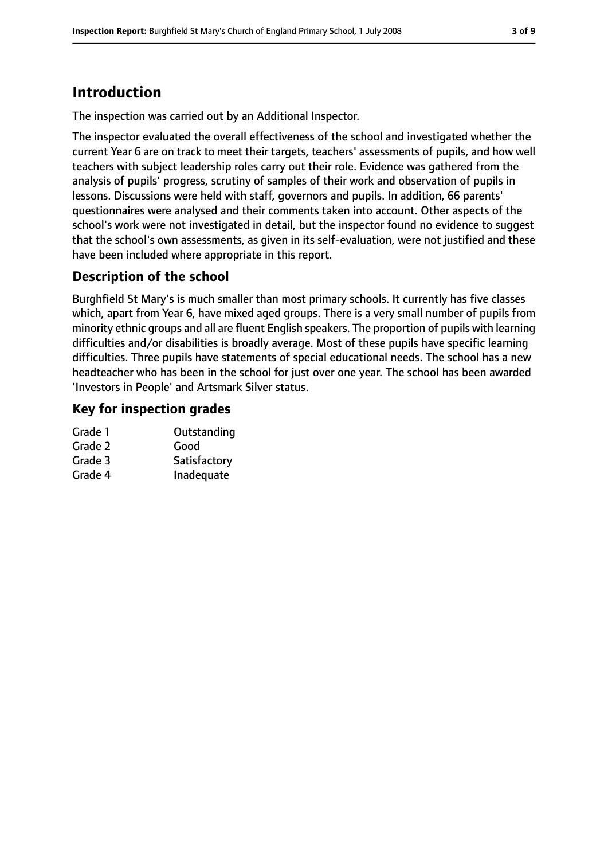# **Introduction**

The inspection was carried out by an Additional Inspector.

The inspector evaluated the overall effectiveness of the school and investigated whether the current Year 6 are on track to meet their targets, teachers' assessments of pupils, and how well teachers with subject leadership roles carry out their role. Evidence was gathered from the analysis of pupils' progress, scrutiny of samples of their work and observation of pupils in lessons. Discussions were held with staff, governors and pupils. In addition, 66 parents' questionnaires were analysed and their comments taken into account. Other aspects of the school's work were not investigated in detail, but the inspector found no evidence to suggest that the school's own assessments, as given in its self-evaluation, were not justified and these have been included where appropriate in this report.

## **Description of the school**

Burghfield St Mary's is much smaller than most primary schools. It currently has five classes which, apart from Year 6, have mixed aged groups. There is a very small number of pupils from minority ethnic groups and all are fluent English speakers. The proportion of pupils with learning difficulties and/or disabilities is broadly average. Most of these pupils have specific learning difficulties. Three pupils have statements of special educational needs. The school has a new headteacher who has been in the school for just over one year. The school has been awarded 'Investors in People' and Artsmark Silver status.

## **Key for inspection grades**

| Outstanding  |
|--------------|
| Good         |
| Satisfactory |
| Inadequate   |
|              |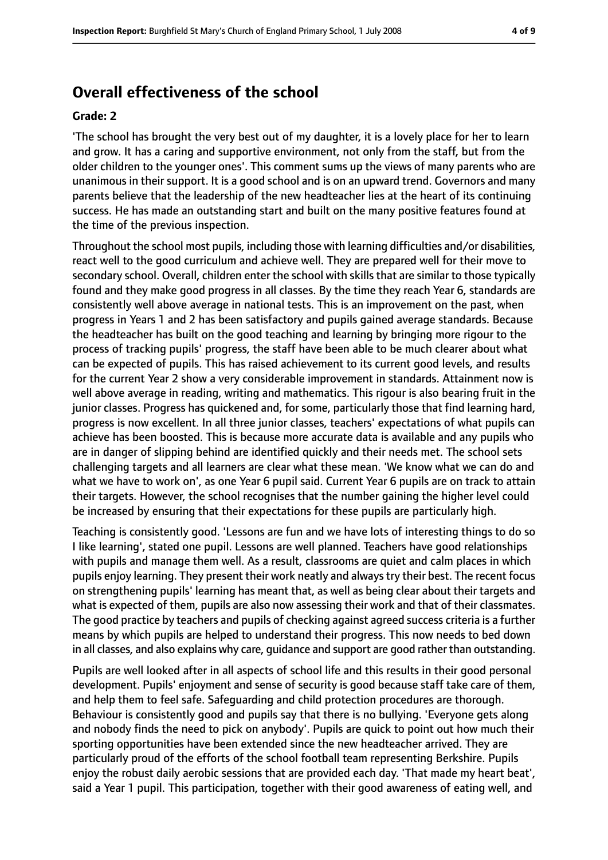# **Overall effectiveness of the school**

#### **Grade: 2**

'The school has brought the very best out of my daughter, it is a lovely place for her to learn and grow. It has a caring and supportive environment, not only from the staff, but from the older children to the younger ones'. This comment sums up the views of many parents who are unanimous in their support. It is a good school and is on an upward trend. Governors and many parents believe that the leadership of the new headteacher lies at the heart of its continuing success. He has made an outstanding start and built on the many positive features found at the time of the previous inspection.

Throughout the school most pupils, including those with learning difficulties and/or disabilities, react well to the good curriculum and achieve well. They are prepared well for their move to secondary school. Overall, children enter the school with skills that are similar to those typically found and they make good progress in all classes. By the time they reach Year 6, standards are consistently well above average in national tests. This is an improvement on the past, when progress in Years 1 and 2 has been satisfactory and pupils gained average standards. Because the headteacher has built on the good teaching and learning by bringing more rigour to the process of tracking pupils' progress, the staff have been able to be much clearer about what can be expected of pupils. This has raised achievement to its current good levels, and results for the current Year 2 show a very considerable improvement in standards. Attainment now is well above average in reading, writing and mathematics. This rigour is also bearing fruit in the junior classes. Progress has quickened and, for some, particularly those that find learning hard, progress is now excellent. In all three junior classes, teachers' expectations of what pupils can achieve has been boosted. This is because more accurate data is available and any pupils who are in danger of slipping behind are identified quickly and their needs met. The school sets challenging targets and all learners are clear what these mean. 'We know what we can do and what we have to work on', as one Year 6 pupil said. Current Year 6 pupils are on track to attain their targets. However, the school recognises that the number gaining the higher level could be increased by ensuring that their expectations for these pupils are particularly high.

Teaching is consistently good. 'Lessons are fun and we have lots of interesting things to do so I like learning', stated one pupil. Lessons are well planned. Teachers have good relationships with pupils and manage them well. As a result, classrooms are quiet and calm places in which pupils enjoy learning. They present their work neatly and alwaystry their best. The recent focus on strengthening pupils' learning has meant that, as well as being clear about their targets and what is expected of them, pupils are also now assessing their work and that of their classmates. The good practice by teachers and pupils of checking against agreed success criteria is a further means by which pupils are helped to understand their progress. This now needs to bed down in all classes, and also explains why care, guidance and support are good rather than outstanding.

Pupils are well looked after in all aspects of school life and this results in their good personal development. Pupils' enjoyment and sense of security is good because staff take care of them, and help them to feel safe. Safeguarding and child protection procedures are thorough. Behaviour is consistently good and pupils say that there is no bullying. 'Everyone gets along and nobody finds the need to pick on anybody'. Pupils are quick to point out how much their sporting opportunities have been extended since the new headteacher arrived. They are particularly proud of the efforts of the school football team representing Berkshire. Pupils enjoy the robust daily aerobic sessions that are provided each day. 'That made my heart beat', said a Year 1 pupil. This participation, together with their good awareness of eating well, and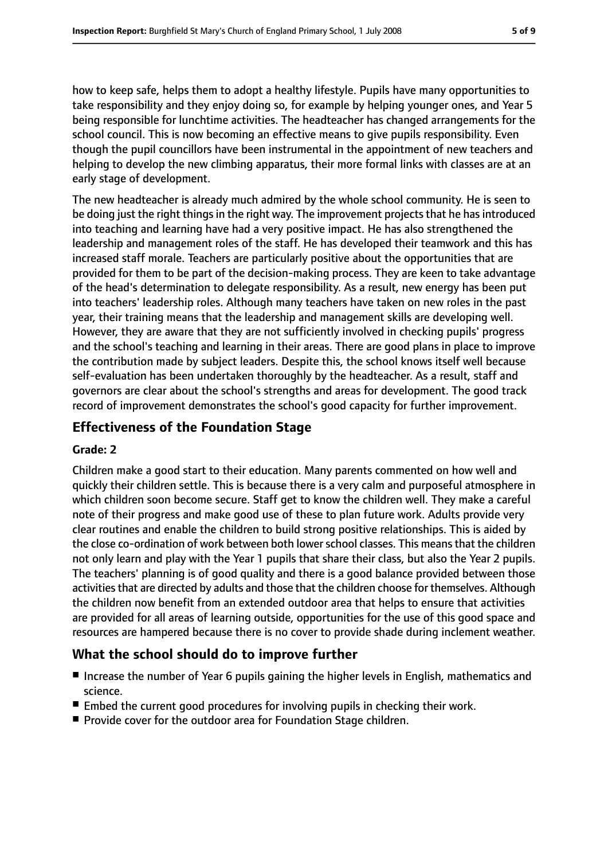how to keep safe, helps them to adopt a healthy lifestyle. Pupils have many opportunities to take responsibility and they enjoy doing so, for example by helping younger ones, and Year 5 being responsible for lunchtime activities. The headteacher has changed arrangements for the school council. This is now becoming an effective means to give pupils responsibility. Even though the pupil councillors have been instrumental in the appointment of new teachers and helping to develop the new climbing apparatus, their more formal links with classes are at an early stage of development.

The new headteacher is already much admired by the whole school community. He is seen to be doing just the right things in the right way. The improvement projects that he has introduced into teaching and learning have had a very positive impact. He has also strengthened the leadership and management roles of the staff. He has developed their teamwork and this has increased staff morale. Teachers are particularly positive about the opportunities that are provided for them to be part of the decision-making process. They are keen to take advantage of the head's determination to delegate responsibility. As a result, new energy has been put into teachers' leadership roles. Although many teachers have taken on new roles in the past year, their training means that the leadership and management skills are developing well. However, they are aware that they are not sufficiently involved in checking pupils' progress and the school's teaching and learning in their areas. There are good plans in place to improve the contribution made by subject leaders. Despite this, the school knows itself well because self-evaluation has been undertaken thoroughly by the headteacher. As a result, staff and governors are clear about the school's strengths and areas for development. The good track record of improvement demonstrates the school's good capacity for further improvement.

#### **Effectiveness of the Foundation Stage**

#### **Grade: 2**

Children make a good start to their education. Many parents commented on how well and quickly their children settle. This is because there is a very calm and purposeful atmosphere in which children soon become secure. Staff get to know the children well. They make a careful note of their progress and make good use of these to plan future work. Adults provide very clear routines and enable the children to build strong positive relationships. This is aided by the close co-ordination of work between both lowerschool classes. This meansthat the children not only learn and play with the Year 1 pupils that share their class, but also the Year 2 pupils. The teachers' planning is of good quality and there is a good balance provided between those activities that are directed by adults and those that the children choose for themselves. Although the children now benefit from an extended outdoor area that helps to ensure that activities are provided for all areas of learning outside, opportunities for the use of this good space and resources are hampered because there is no cover to provide shade during inclement weather.

#### **What the school should do to improve further**

- Increase the number of Year 6 pupils gaining the higher levels in English, mathematics and science.
- Embed the current good procedures for involving pupils in checking their work.
- Provide cover for the outdoor area for Foundation Stage children.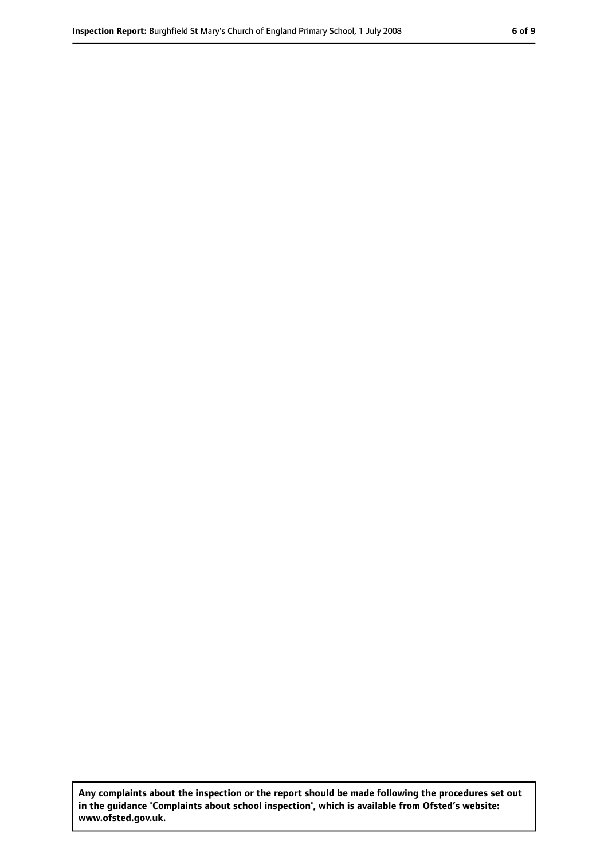**Any complaints about the inspection or the report should be made following the procedures set out in the guidance 'Complaints about school inspection', which is available from Ofsted's website: www.ofsted.gov.uk.**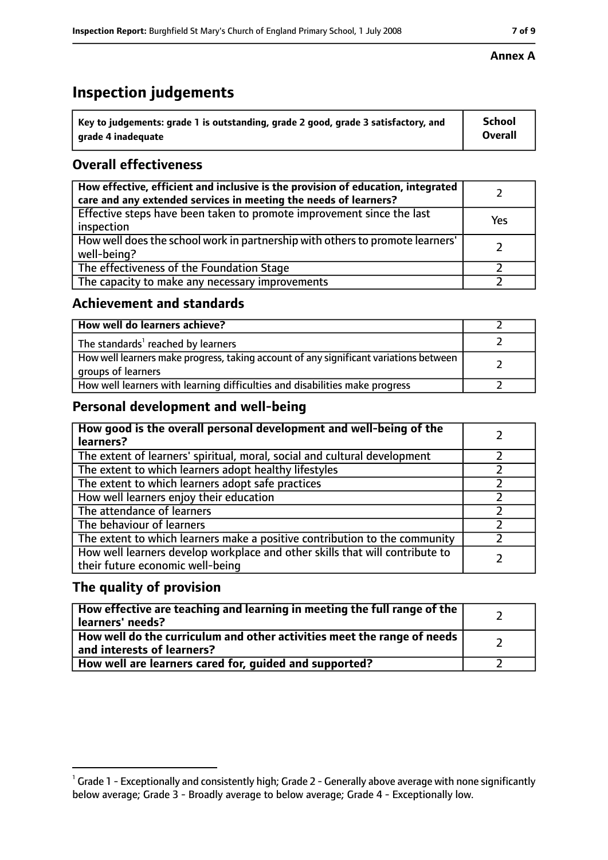# **Inspection judgements**

| $^{\backprime}$ Key to judgements: grade 1 is outstanding, grade 2 good, grade 3 satisfactory, and | <b>School</b>  |
|----------------------------------------------------------------------------------------------------|----------------|
| arade 4 inadeguate                                                                                 | <b>Overall</b> |

## **Overall effectiveness**

| How effective, efficient and inclusive is the provision of education, integrated<br>care and any extended services in meeting the needs of learners? |     |
|------------------------------------------------------------------------------------------------------------------------------------------------------|-----|
| Effective steps have been taken to promote improvement since the last<br>inspection                                                                  | Yes |
| How well does the school work in partnership with others to promote learners'<br>well-being?                                                         |     |
| The effectiveness of the Foundation Stage                                                                                                            |     |
| The capacity to make any necessary improvements                                                                                                      |     |

#### **Achievement and standards**

| How well do learners achieve?                                                                               |  |
|-------------------------------------------------------------------------------------------------------------|--|
| The standards <sup>1</sup> reached by learners                                                              |  |
| How well learners make progress, taking account of any significant variations between<br>groups of learners |  |
| How well learners with learning difficulties and disabilities make progress                                 |  |

## **Personal development and well-being**

| How good is the overall personal development and well-being of the<br>learners?                                  |  |
|------------------------------------------------------------------------------------------------------------------|--|
| The extent of learners' spiritual, moral, social and cultural development                                        |  |
| The extent to which learners adopt healthy lifestyles                                                            |  |
| The extent to which learners adopt safe practices                                                                |  |
| How well learners enjoy their education                                                                          |  |
| The attendance of learners                                                                                       |  |
| The behaviour of learners                                                                                        |  |
| The extent to which learners make a positive contribution to the community                                       |  |
| How well learners develop workplace and other skills that will contribute to<br>their future economic well-being |  |

## **The quality of provision**

| How effective are teaching and learning in meeting the full range of the<br>learners' needs?          |  |
|-------------------------------------------------------------------------------------------------------|--|
| How well do the curriculum and other activities meet the range of needs<br>and interests of learners? |  |
| How well are learners cared for, guided and supported?                                                |  |

#### **Annex A**

 $^1$  Grade 1 - Exceptionally and consistently high; Grade 2 - Generally above average with none significantly below average; Grade 3 - Broadly average to below average; Grade 4 - Exceptionally low.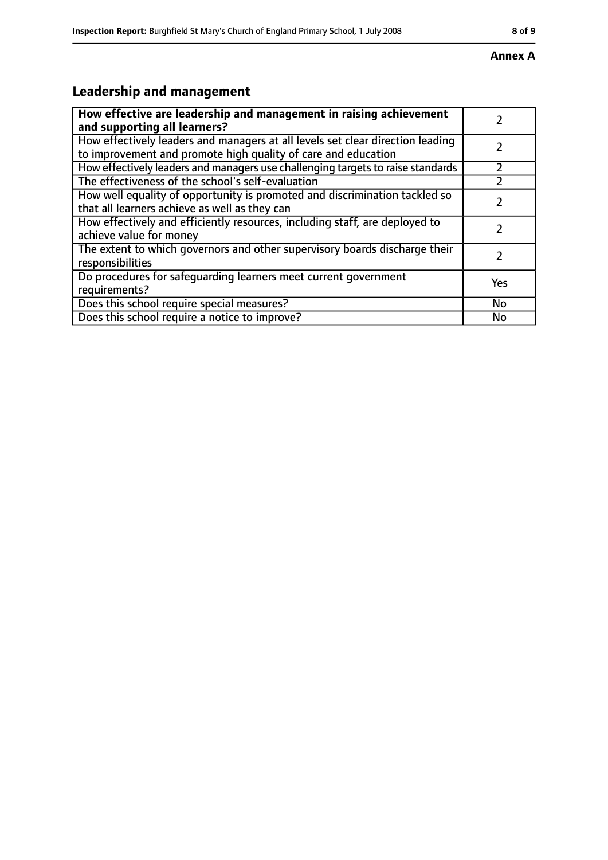#### **Annex A**

# **Leadership and management**

| How effective are leadership and management in raising achievement<br>and supporting all learners?                                              |     |
|-------------------------------------------------------------------------------------------------------------------------------------------------|-----|
| How effectively leaders and managers at all levels set clear direction leading<br>to improvement and promote high quality of care and education |     |
| How effectively leaders and managers use challenging targets to raise standards                                                                 |     |
| The effectiveness of the school's self-evaluation                                                                                               |     |
| How well equality of opportunity is promoted and discrimination tackled so<br>that all learners achieve as well as they can                     |     |
| How effectively and efficiently resources, including staff, are deployed to<br>achieve value for money                                          |     |
| The extent to which governors and other supervisory boards discharge their<br>responsibilities                                                  |     |
| Do procedures for safequarding learners meet current government<br>requirements?                                                                | Yes |
| Does this school require special measures?                                                                                                      | No  |
| Does this school require a notice to improve?                                                                                                   | No  |